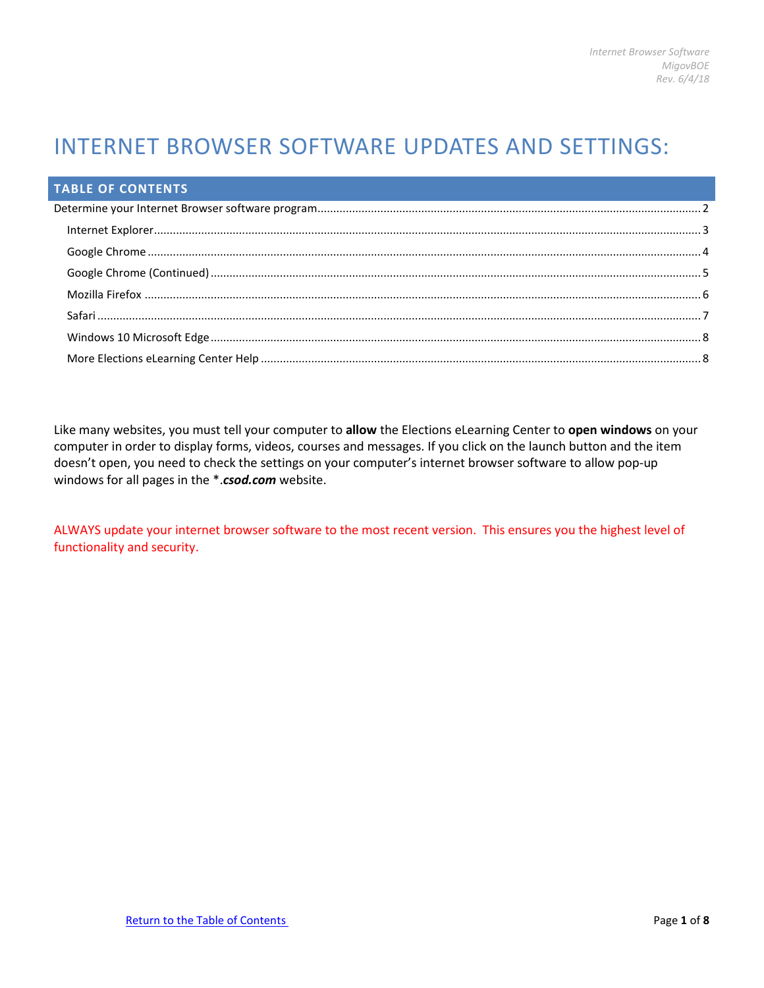# INTERNET BROWSER SOFTWARE UPDATES AND SETTINGS:

| <b>TABLE OF CONTENTS</b> |  |
|--------------------------|--|
|                          |  |
|                          |  |
|                          |  |
|                          |  |
|                          |  |
|                          |  |
|                          |  |
|                          |  |

<span id="page-0-0"></span>Like many websites, you must tell your computer to **allow** the Elections eLearning Center to **open windows** on your computer in order to display forms, videos, courses and messages. If you click on the launch button and the item doesn't open, you need to check the settings on your computer's internet browser software to allow pop-up windows for all pages in the \*.*csod.com* website.

ALWAYS update your internet browser software to the most recent version. This ensures you the highest level of functionality and security.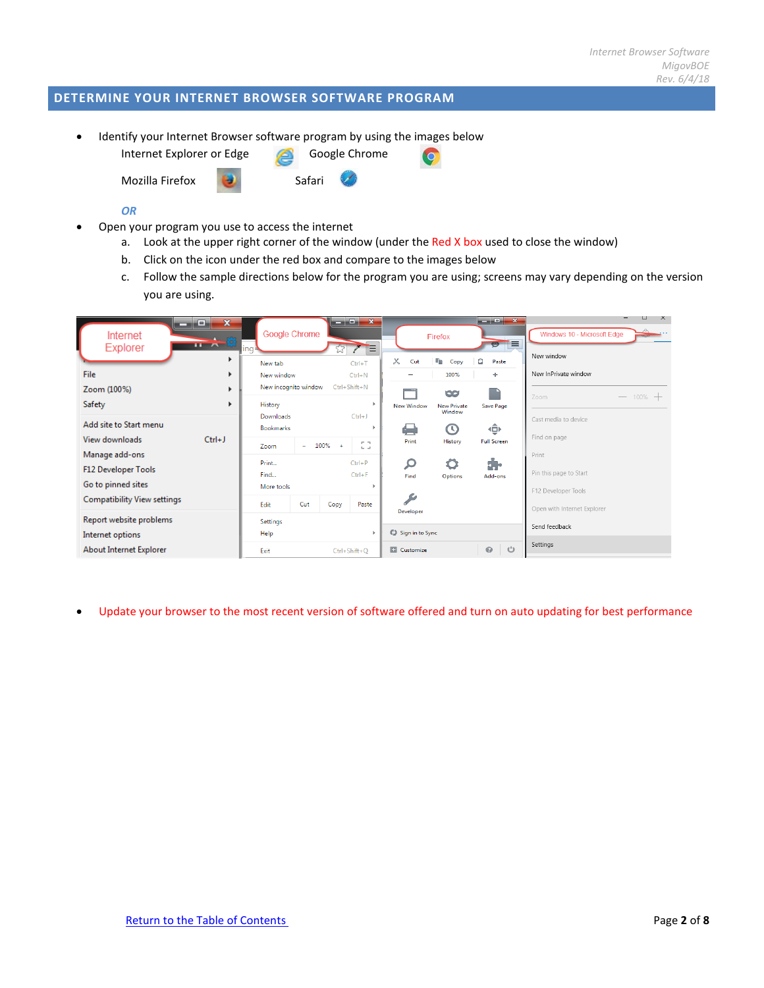# <span id="page-1-0"></span>**DETERMINE YOUR INTERNET BROWSER SOFTWARE PROGRAM**

• Identify your Internet Browser software program by using the images below

Internet Explorer or Edge Google Chrome

Mozilla Firefox **Bandari** Safari

### *OR*

- Open your program you use to access the internet
	- a. Look at the upper right corner of the window (under the Red X box used to close the window)
	- b. Click on the icon under the red box and compare to the images below
	- c. Follow the sample directions below for the program you are using; screens may vary depending on the version you are using.

**NO** 

| o,<br>-<br>Internet<br><b>Explorer</b><br>File                | $\mathbf{x}$<br>규사자<br>ь<br>Þ. | ing∍<br>New tab<br>New window         | Google Chrome |           | $\begin{array}{c c c c c c} \hline \multicolumn{1}{c }{\mathbf{I}} & \multicolumn{1}{c }{\mathbf{X}} \end{array}$<br>Έ<br>$Ctrl+T$<br>$Ctrl + N$ | $\times$<br>Cut                           | Firefox<br>lin.<br>Copy<br>100%    | $\blacksquare$ $\blacksquare$ $\blacksquare$ $\blacksquare$ $\blacksquare$<br>$\blacksquare$<br>â<br>Paste<br>÷ | H.<br>$\mathsf{X}$<br>Windows 10 - Microsoft Edge<br>New window<br>New InPrivate window |
|---------------------------------------------------------------|--------------------------------|---------------------------------------|---------------|-----------|--------------------------------------------------------------------------------------------------------------------------------------------------|-------------------------------------------|------------------------------------|-----------------------------------------------------------------------------------------------------------------|-----------------------------------------------------------------------------------------|
| Zoom (100%)<br>Safety                                         | ь<br>٠                         | New incognito window<br>History       |               |           | Ctrl+Shift+N                                                                                                                                     | <b>New Window</b>                         | 98<br><b>New Private</b><br>Window | Save Page                                                                                                       | $-$ 100% $+$<br>Zoom                                                                    |
| Add site to Start menu<br>View downloads                      | $Ctrl + J$                     | Downloads<br><b>Bookmarks</b><br>Zoom | ٠             | 100%<br>٠ | $Ctrl + J$<br>$-1$<br>to an                                                                                                                      | €<br>Print                                | $\circ$<br>History                 | ⊕<br><b>Full Screen</b>                                                                                         | Cast media to device.<br>Find on page                                                   |
| Manage add-ons<br>F12 Developer Tools<br>Go to pinned sites   |                                | Print<br>Find<br>More tools           |               |           | $Ctrl + P$<br>$Ctrl + F$                                                                                                                         | $\boldsymbol{\beta}$<br>Find              | Options                            | ÷.<br>Add-ons                                                                                                   | Print<br>Pin this page to Start<br>F12 Developer Tools                                  |
| <b>Compatibility View settings</b><br>Report website problems |                                | Edit<br>Settings                      | Cut           | Copy      | Paste                                                                                                                                            | <b>SP</b><br>Developer                    |                                    |                                                                                                                 | Open with Internet Explorer                                                             |
| Internet options<br>About Internet Explorer                   |                                | Help<br>Exit                          |               |           | $Ctrl + Shift + O$                                                                                                                               | C) Sign in to Sync<br><b>Ed</b> Customize |                                    | <u>්</u><br>$\odot$                                                                                             | Send feedback<br>Settings                                                               |

• Update your browser to the most recent version of software offered and turn on auto updating for best performance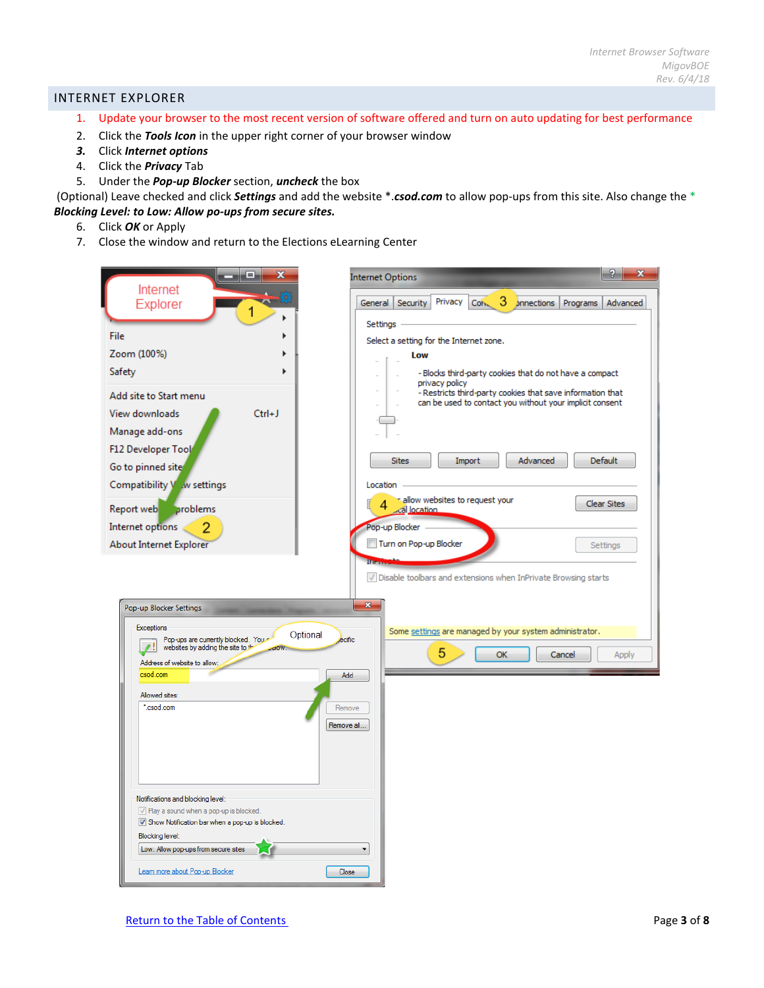## <span id="page-2-0"></span>INTERNET EXPLORER

- 1. Update your browser to the most recent version of software offered and turn on auto updating for best performance
- 2. Click the *Tools Icon* in the upper right corner of your browser window
- *3.* Click *Internet options*
- 4. Click the *Privacy* Tab
- 5. Under the *Pop-up Blocker* section, *uncheck* the box

(Optional) Leave checked and click *Settings* and add the website \*.*csod.com* to allow pop-ups from this site. Also change the \* *Blocking Level: to Low: Allow po-ups from secure sites.*

- 6. Click *OK* or Apply
- 7. Close the window and return to the Elections eLearning Center

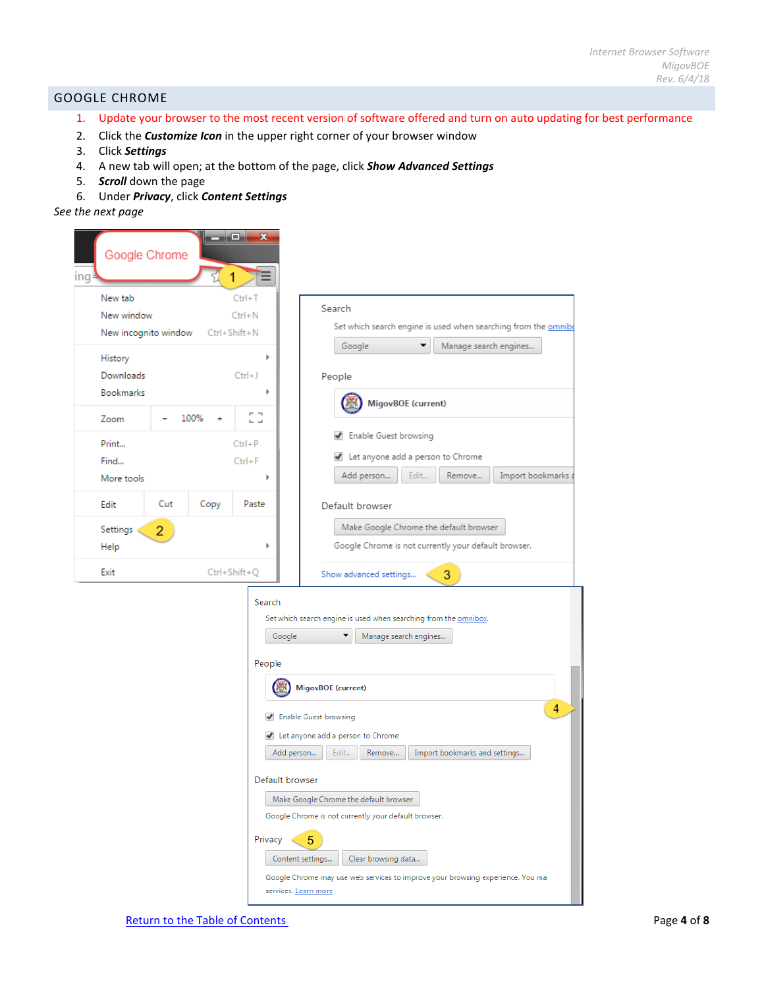## <span id="page-3-0"></span>GOOGLE CHROME

- 1. Update your browser to the most recent version of software offered and turn on auto updating for best performance
- 2. Click the *Customize Icon* in the upper right corner of your browser window
- 3. Click *Settings*
- 4. A new tab will open; at the bottom of the page, click *Show Advanced Settings*
- 5. *Scroll* down the page
- 6. Under *Privacy*, click *Content Settings*

## *See the next page*

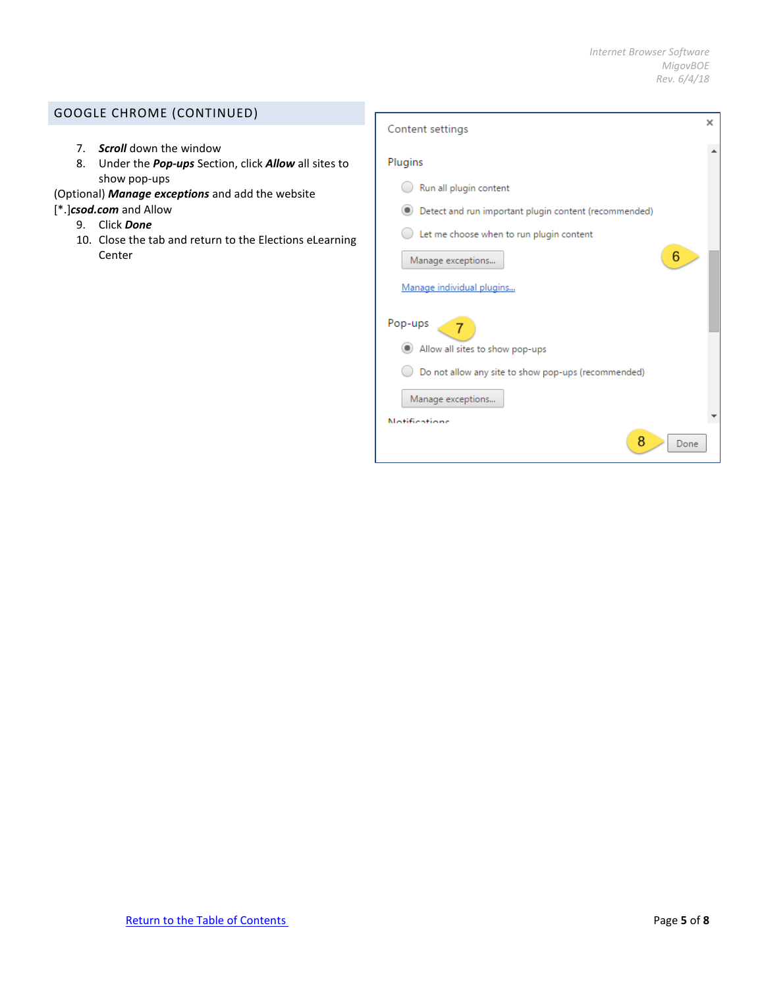# <span id="page-4-0"></span>GOOGLE CHROME (CONTINUED)

- 7. *Scroll* down the window
- 8. Under the *Pop-ups* Section, click *Allow* all sites to show pop-ups
- (Optional) *Manage exceptions* and add the website
- [\*.]*csod.com* and Allow
	- 9. Click *Done*
	- 10. Close the tab and return to the Elections eLearning Center

| Content settings                                      | × |
|-------------------------------------------------------|---|
| Plugins                                               |   |
| Run all plugin content                                |   |
| Detect and run important plugin content (recommended) |   |
| Let me choose when to run plugin content              |   |
| 6<br>Manage exceptions                                |   |
| Manage individual plugins                             |   |
| Pop-ups                                               |   |
| Allow all sites to show pop-ups                       |   |
| Do not allow any site to show pop-ups (recommended)   |   |
| Manage exceptions                                     |   |
| <b>Notifications</b>                                  |   |
| 8<br>Done                                             |   |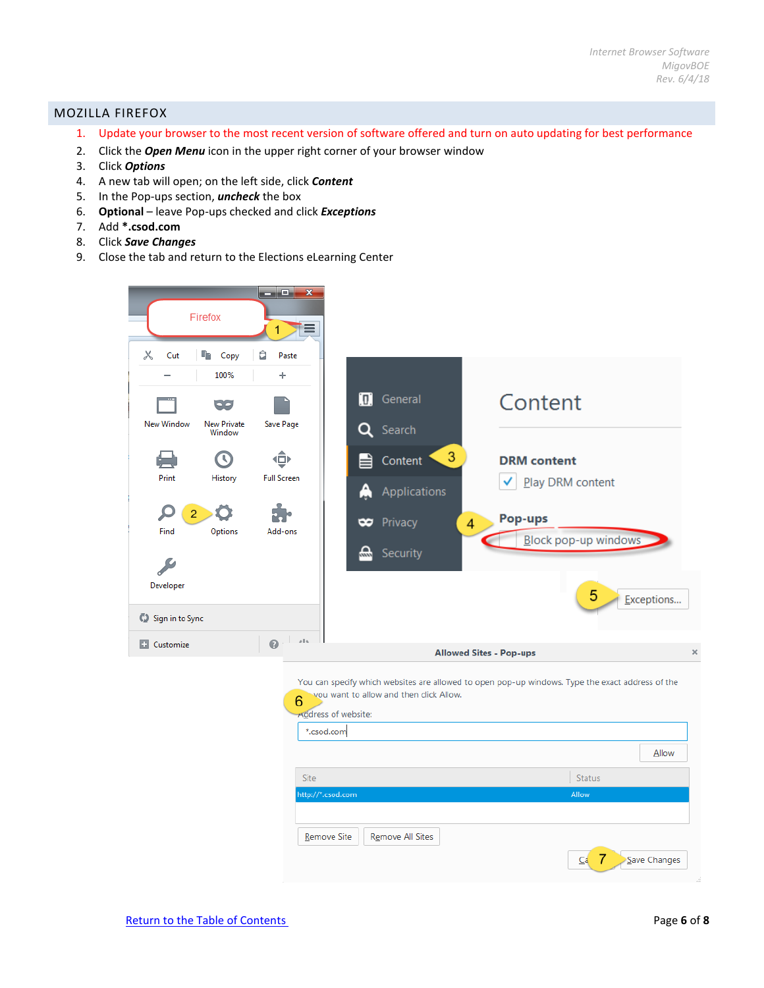## <span id="page-5-0"></span>MOZILLA FIREFOX

- 1. Update your browser to the most recent version of software offered and turn on auto updating for best performance
- 2. Click the *Open Menu* icon in the upper right corner of your browser window
- 3. Click *Options*
- 4. A new tab will open; on the left side, click *Content*
- 5. In the Pop-ups section, *uncheck* the box
- 6. **Optional** leave Pop-ups checked and click *Exceptions*
- 7. Add **\*.csod.com**
- 8. Click *Save Changes*
- 9. Close the tab and return to the Elections eLearning Center



| you want to allow and then click Allow.<br>6<br>Address of website: | You can specify which websites are allowed to open pop-up windows. Type the exact address of the |
|---------------------------------------------------------------------|--------------------------------------------------------------------------------------------------|
| *.csod.com                                                          |                                                                                                  |
|                                                                     | Allow                                                                                            |
| <b>Site</b>                                                         | <b>Status</b>                                                                                    |
| http://*.csod.com                                                   | Allow                                                                                            |
|                                                                     |                                                                                                  |
| <b>Remove Site</b><br><b>Remove All Sites</b>                       |                                                                                                  |
|                                                                     | -7<br>Save Changes<br>Ca                                                                         |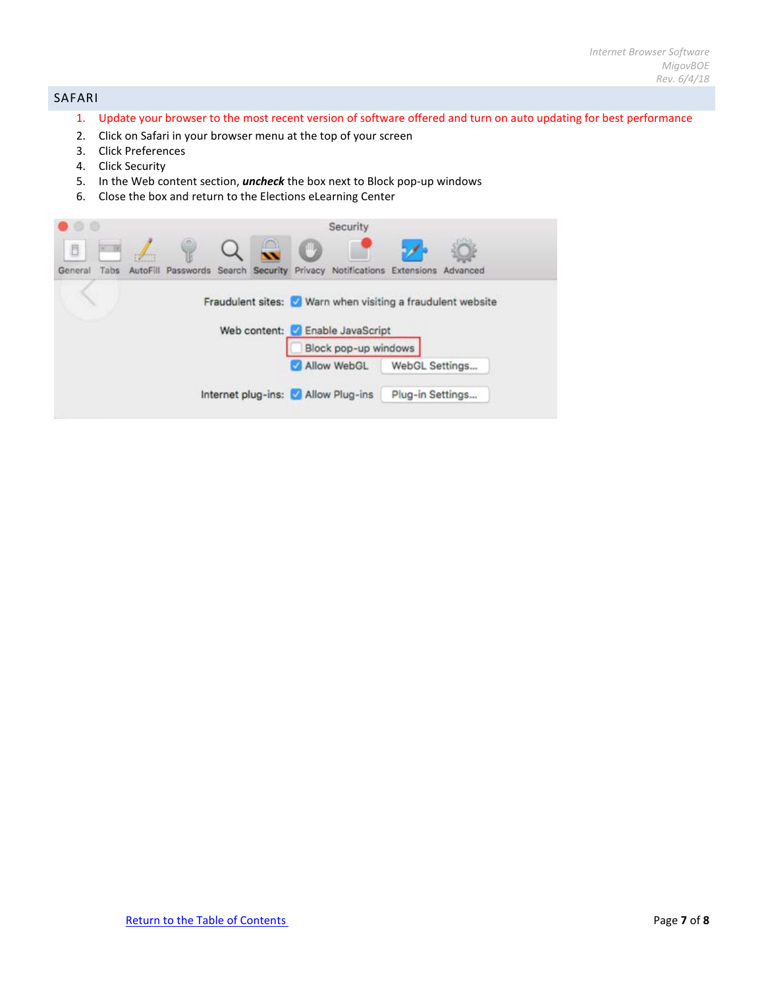# <span id="page-6-0"></span>SAFARI

- 1. Update your browser to the most recent version of software offered and turn on auto updating for best performance
- 2. Click on Safari in your browser menu at the top of your screen
- 3. Click Preferences
- 4. Click Security
- 5. In the Web content section, *uncheck* the box next to Block pop-up windows
- 6. Close the box and return to the Elections eLearning Center

|         |      |          |           |  |       | Security                              |                  |                                                             |  |
|---------|------|----------|-----------|--|-------|---------------------------------------|------------------|-------------------------------------------------------------|--|
| D       |      |          |           |  | po ay |                                       |                  |                                                             |  |
| General | Tabs | AutoFill | Passwords |  |       | Search Security Privacy Notifications | Extensions       | Advanced                                                    |  |
|         |      |          |           |  |       |                                       |                  |                                                             |  |
|         |      |          |           |  |       |                                       |                  | Fraudulent sites: V Warn when visiting a fraudulent website |  |
|         |      |          |           |  |       | Web content: Z Enable JavaScript      |                  |                                                             |  |
|         |      |          |           |  |       | Block pop-up windows                  |                  |                                                             |  |
|         |      |          |           |  |       | Allow WebGL                           |                  | WebGL Settings                                              |  |
|         |      |          |           |  |       | Internet plug-ins: Allow Plug-ins     | Plug-in Settings |                                                             |  |
|         |      |          |           |  |       |                                       |                  |                                                             |  |